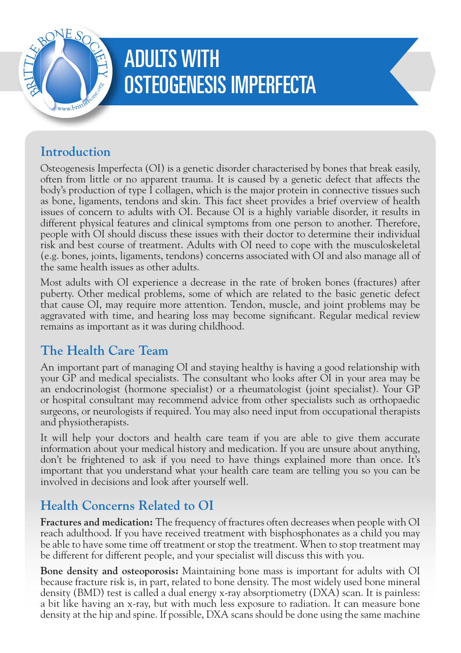

# ADULTS WITH OSTEOGENESIS IMPERFECTA

## **Introduction**

Osteogenesis Imperfecta (OI) is a genetic disorder characterised by bones that break easily, often from little or no apparent trauma. It is caused by a genetic defect that affects the body's production of type I collagen, which is the major protein in connective tissues such as bone, ligaments, tendons and skin. This fact sheet provides a brief overview of health issues of concern to adults with OI. Because OI is a highly variable disorder, it results in different physical features and clinical symptoms from one person to another. Therefore, people with OI should discuss these issues with their doctor to determine their individual risk and best course of treatment. Adults with OI need to cope with the musculoskeletal (e.g. bones, joints, ligaments, tendons) concerns associated with OI and also manage all of the same health issues as other adults.

Most adults with OI experience a decrease in the rate of broken bones (fractures) after puberty. Other medical problems, some of which are related to the basic genetic defect that cause OI, may require more attention. Tendon, muscle, and joint problems may be aggravated with time, and hearing loss may become significant. Regular medical review remains as important as it was during childhood.

## **The Health Care Team**

An important part of managing OI and staying healthy is having a good relationship with your GP and medical specialists. The consultant who looks after OI in your area may be an endocrinologist (hormone specialist) or a rheumatologist (joint specialist). Your GP or hospital consultant may recommend advice from other specialists such as orthopaedic surgeons, or neurologists if required. You may also need input from occupational therapists and physiotherapists.

It will help your doctors and health care team if you are able to give them accurate information about your medical history and medication. If you are unsure about anything, don't be frightened to ask if you need to have things explained more than once. It's important that you understand what your health care team are telling you so you can be involved in decisions and look after yourself well.

## **Health Concerns Related to OI**

**Fractures and medication:** The frequency of fractures often decreases when people with OI reach adulthood. If you have received treatment with bisphosphonates as a child you may be able to have some time off treatment or stop the treatment. When to stop treatment may be different for different people, and your specialist will discuss this with you.

**Bone density and osteoporosis:** Maintaining bone mass is important for adults with OI because fracture risk is, in part, related to bone density. The most widely used bone mineral density (BMD) test is called a dual energy x-ray absorptiometry (DXA) scan. It is painless: a bit like having an x-ray, but with much less exposure to radiation. It can measure bone density at the hip and spine. If possible, DXA scans should be done using the same machine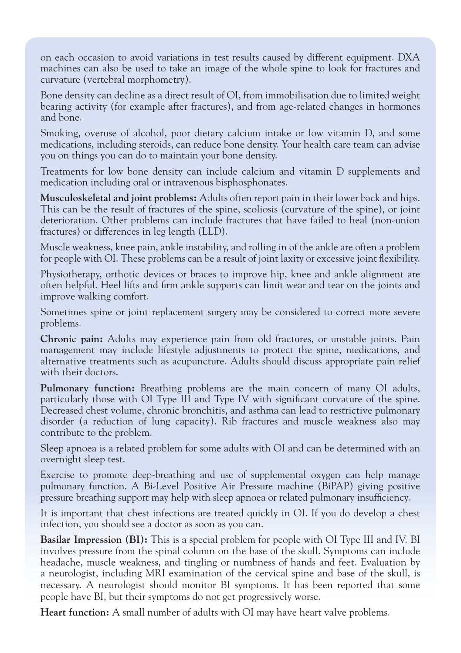on each occasion to avoid variations in test results caused by different equipment. DXA machines can also be used to take an image of the whole spine to look for fractures and curvature (vertebral morphometry).

Bone density can decline as a direct result of OI, from immobilisation due to limited weight bearing activity (for example after fractures), and from age-related changes in hormones and bone.

Smoking, overuse of alcohol, poor dietary calcium intake or low vitamin D, and some medications, including steroids, can reduce bone density. Your health care team can advise you on things you can do to maintain your bone density.

Treatments for low bone density can include calcium and vitamin D supplements and medication including oral or intravenous bisphosphonates.

**Musculoskeletal and joint problems:** Adults often report pain in their lower back and hips. This can be the result of fractures of the spine, scoliosis (curvature of the spine), or joint deterioration. Other problems can include fractures that have failed to heal (non-union fractures) or differences in leg length (LLD).

Muscle weakness, knee pain, ankle instability, and rolling in of the ankle are often a problem for people with OI. These problems can be a result of joint laxity or excessive joint flexibility.

Physiotherapy, orthotic devices or braces to improve hip, knee and ankle alignment are often helpful. Heel lifts and firm ankle supports can limit wear and tear on the joints and improve walking comfort.

Sometimes spine or joint replacement surgery may be considered to correct more severe problems.

**Chronic pain:** Adults may experience pain from old fractures, or unstable joints. Pain management may include lifestyle adjustments to protect the spine, medications, and alternative treatments such as acupuncture. Adults should discuss appropriate pain relief with their doctors.

**Pulmonary function:** Breathing problems are the main concern of many OI adults, particularly those with OI Type III and Type IV with significant curvature of the spine. Decreased chest volume, chronic bronchitis, and asthma can lead to restrictive pulmonary disorder (a reduction of lung capacity). Rib fractures and muscle weakness also may contribute to the problem.

Sleep apnoea is a related problem for some adults with OI and can be determined with an overnight sleep test.

Exercise to promote deep-breathing and use of supplemental oxygen can help manage pulmonary function. A Bi-Level Positive Air Pressure machine (BiPAP) giving positive pressure breathing support may help with sleep apnoea or related pulmonary insufficiency.

It is important that chest infections are treated quickly in OI. If you do develop a chest infection, you should see a doctor as soon as you can.

**Basilar Impression (BI):** This is a special problem for people with OI Type III and IV. BI involves pressure from the spinal column on the base of the skull. Symptoms can include headache, muscle weakness, and tingling or numbness of hands and feet. Evaluation by a neurologist, including MRI examination of the cervical spine and base of the skull, is necessary. A neurologist should monitor BI symptoms. It has been reported that some people have BI, but their symptoms do not get progressively worse.

**Heart function:** A small number of adults with OI may have heart valve problems.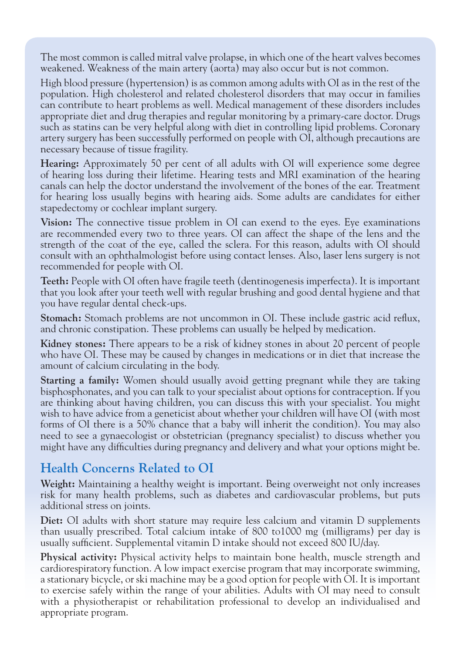The most common is called mitral valve prolapse, in which one of the heart valves becomes weakened. Weakness of the main artery (aorta) may also occur but is not common.

High blood pressure (hypertension) is as common among adults with OI as in the rest of the population. High cholesterol and related cholesterol disorders that may occur in families can contribute to heart problems as well. Medical management of these disorders includes appropriate diet and drug therapies and regular monitoring by a primary-care doctor. Drugs such as statins can be very helpful along with diet in controlling lipid problems. Coronary artery surgery has been successfully performed on people with OI, although precautions are necessary because of tissue fragility.

**Hearing:** Approximately 50 per cent of all adults with OI will experience some degree of hearing loss during their lifetime. Hearing tests and MRI examination of the hearing canals can help the doctor understand the involvement of the bones of the ear. Treatment for hearing loss usually begins with hearing aids. Some adults are candidates for either stapedectomy or cochlear implant surgery.

**Vision:** The connective tissue problem in OI can exend to the eyes. Eye examinations are recommended every two to three years. OI can affect the shape of the lens and the strength of the coat of the eye, called the sclera. For this reason, adults with OI should consult with an ophthalmologist before using contact lenses. Also, laser lens surgery is not recommended for people with OI.

**Teeth:** People with OI often have fragile teeth (dentinogenesis imperfecta). It is important that you look after your teeth well with regular brushing and good dental hygiene and that you have regular dental check-ups.

**Stomach:** Stomach problems are not uncommon in OI. These include gastric acid reflux, and chronic constipation. These problems can usually be helped by medication.

**Kidney stones:** There appears to be a risk of kidney stones in about 20 percent of people who have OI. These may be caused by changes in medications or in diet that increase the amount of calcium circulating in the body.

**Starting a family:** Women should usually avoid getting pregnant while they are taking bisphosphonates, and you can talk to your specialist about options for contraception. If you are thinking about having children, you can discuss this with your specialist. You might wish to have advice from a geneticist about whether your children will have OI (with most forms of OI there is a 50% chance that a baby will inherit the condition). You may also need to see a gynaecologist or obstetrician (pregnancy specialist) to discuss whether you might have any difficulties during pregnancy and delivery and what your options might be.

#### **Health Concerns Related to OI**

**Weight:** Maintaining a healthy weight is important. Being overweight not only increases risk for many health problems, such as diabetes and cardiovascular problems, but puts additional stress on joints.

**Diet:** OI adults with short stature may require less calcium and vitamin D supplements than usually prescribed. Total calcium intake of 800 to1000 mg (milligrams) per day is usually sufficient. Supplemental vitamin D intake should not exceed 800 IU/day.

**Physical activity:** Physical activity helps to maintain bone health, muscle strength and cardiorespiratory function. A low impact exercise program that may incorporate swimming, a stationary bicycle, or ski machine may be a good option for people with OI. It is important to exercise safely within the range of your abilities. Adults with OI may need to consult with a physiotherapist or rehabilitation professional to develop an individualised and appropriate program.